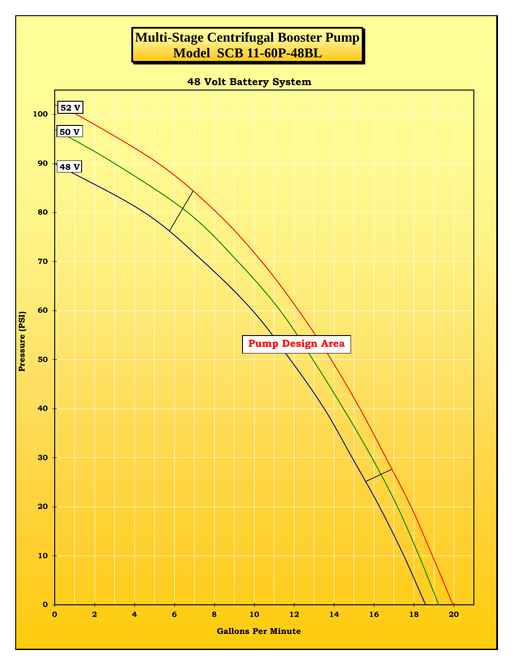